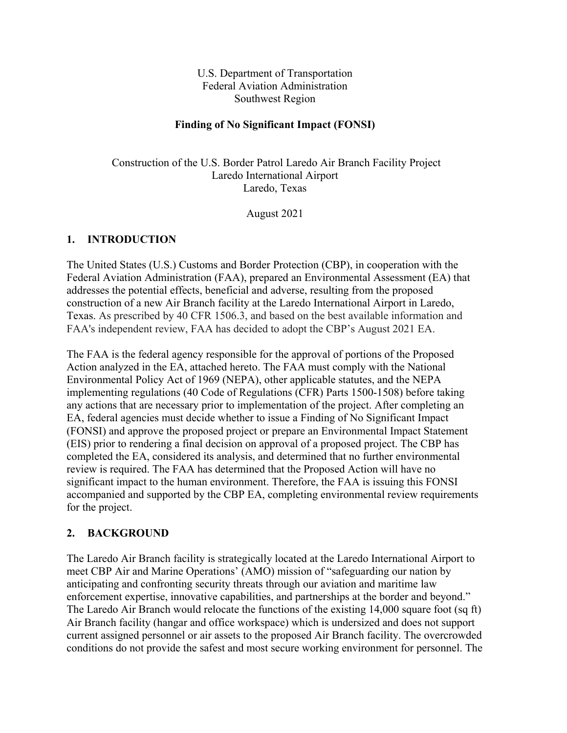U.S. Department of Transportation Federal Aviation Administration Southwest Region

#### **Finding of No Significant Impact (FONSI)**

Construction of the U.S. Border Patrol Laredo Air Branch Facility Project Laredo International Airport Laredo, Texas

August 2021

#### **1. INTRODUCTION**

The United States (U.S.) Customs and Border Protection (CBP), in cooperation with the Federal Aviation Administration (FAA), prepared an Environmental Assessment (EA) that addresses the potential effects, beneficial and adverse, resulting from the proposed construction of a new Air Branch facility at the Laredo International Airport in Laredo, Texas. As prescribed by 40 CFR 1506.3, and based on the best available information and FAA's independent review, FAA has decided to adopt the CBP's August 2021 EA.

The FAA is the federal agency responsible for the approval of portions of the Proposed Action analyzed in the EA, attached hereto. The FAA must comply with the National Environmental Policy Act of 1969 (NEPA), other applicable statutes, and the NEPA implementing regulations (40 Code of Regulations (CFR) Parts 1500-1508) before taking any actions that are necessary prior to implementation of the project. After completing an EA, federal agencies must decide whether to issue a Finding of No Significant Impact (FONSI) and approve the proposed project or prepare an Environmental Impact Statement (EIS) prior to rendering a final decision on approval of a proposed project. The CBP has completed the EA, considered its analysis, and determined that no further environmental review is required. The FAA has determined that the Proposed Action will have no significant impact to the human environment. Therefore, the FAA is issuing this FONSI accompanied and supported by the CBP EA, completing environmental review requirements for the project.

#### **2. BACKGROUND**

The Laredo Air Branch facility is strategically located at the Laredo International Airport to meet CBP Air and Marine Operations' (AMO) mission of "safeguarding our nation by anticipating and confronting security threats through our aviation and maritime law enforcement expertise, innovative capabilities, and partnerships at the border and beyond." The Laredo Air Branch would relocate the functions of the existing 14,000 square foot (sq ft) Air Branch facility (hangar and office workspace) which is undersized and does not support current assigned personnel or air assets to the proposed Air Branch facility. The overcrowded conditions do not provide the safest and most secure working environment for personnel. The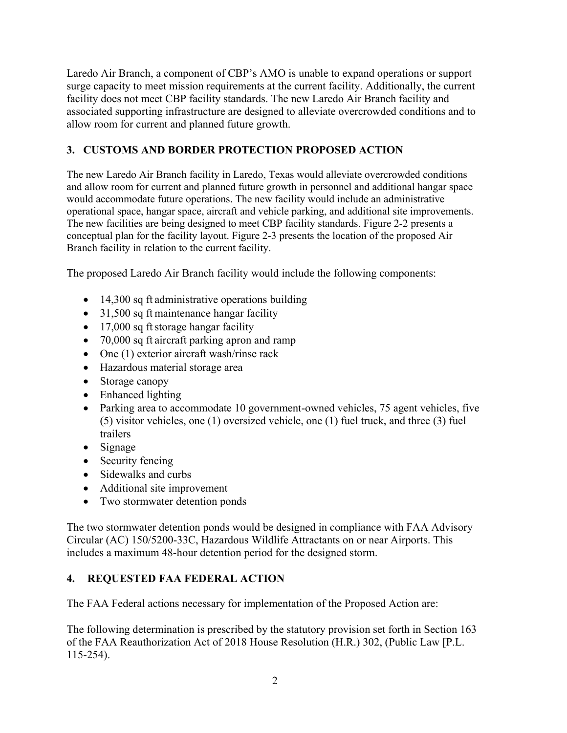Laredo Air Branch, a component of CBP's AMO is unable to expand operations or support surge capacity to meet mission requirements at the current facility. Additionally, the current facility does not meet CBP facility standards. The new Laredo Air Branch facility and associated supporting infrastructure are designed to alleviate overcrowded conditions and to allow room for current and planned future growth.

## **3. CUSTOMS AND BORDER PROTECTION PROPOSED ACTION**

The new Laredo Air Branch facility in Laredo, Texas would alleviate overcrowded conditions and allow room for current and planned future growth in personnel and additional hangar space would accommodate future operations. The new facility would include an administrative operational space, hangar space, aircraft and vehicle parking, and additional site improvements. The new facilities are being designed to meet CBP facility standards. Figure 2-2 presents a conceptual plan for the facility layout. Figure 2-3 presents the location of the proposed Air Branch facility in relation to the current facility.

The proposed Laredo Air Branch facility would include the following components:

- 14,300 sq ft administrative operations building
- 31,500 sq ft maintenance hangar facility
- 17,000 sq ft storage hangar facility
- 70,000 sq ft aircraft parking apron and ramp
- One (1) exterior aircraft wash/rinse rack
- Hazardous material storage area
- Storage canopy
- Enhanced lighting
- Parking area to accommodate 10 government-owned vehicles, 75 agent vehicles, five (5) visitor vehicles, one (1) oversized vehicle, one (1) fuel truck, and three (3) fuel trailers
- Signage
- Security fencing
- Sidewalks and curbs
- Additional site improvement
- Two stormwater detention ponds

The two stormwater detention ponds would be designed in compliance with FAA Advisory Circular (AC) 150/5200-33C, Hazardous Wildlife Attractants on or near Airports. This includes a maximum 48-hour detention period for the designed storm.

## **4. REQUESTED FAA FEDERAL ACTION**

The FAA Federal actions necessary for implementation of the Proposed Action are:

The following determination is prescribed by the statutory provision set forth in Section 163 of the FAA Reauthorization Act of 2018 House Resolution (H.R.) 302, (Public Law [P.L. 115-254).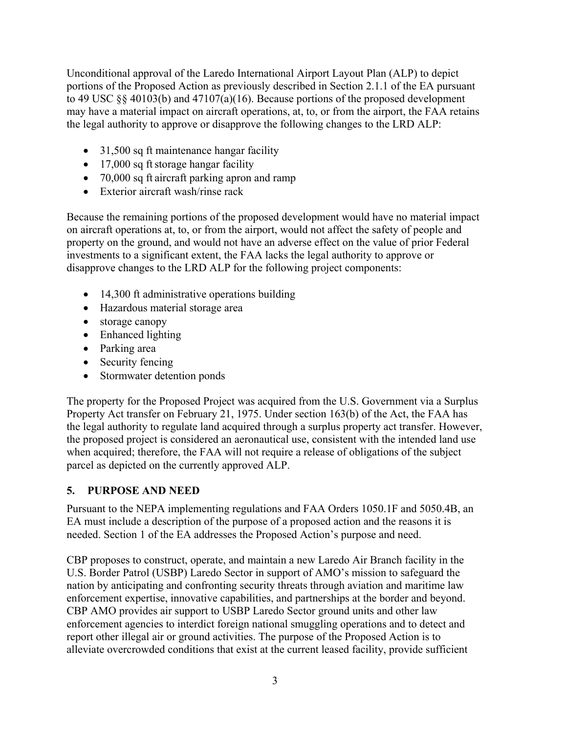Unconditional approval of the Laredo International Airport Layout Plan (ALP) to depict portions of the Proposed Action as previously described in Section 2.1.1 of the EA pursuant to 49 USC §§ 40103(b) and 47107(a)(16). Because portions of the proposed development may have a material impact on aircraft operations, at, to, or from the airport, the FAA retains the legal authority to approve or disapprove the following changes to the LRD ALP:

- 31,500 sq ft maintenance hangar facility
- $\bullet$  17,000 sq ft storage hangar facility
- 70,000 sq ft aircraft parking apron and ramp
- Exterior aircraft wash/rinse rack

Because the remaining portions of the proposed development would have no material impact on aircraft operations at, to, or from the airport, would not affect the safety of people and property on the ground, and would not have an adverse effect on the value of prior Federal investments to a significant extent, the FAA lacks the legal authority to approve or disapprove changes to the LRD ALP for the following project components:

- 14,300 ft administrative operations building
- Hazardous material storage area
- storage canopy
- Enhanced lighting
- Parking area
- Security fencing
- Stormwater detention ponds

The property for the Proposed Project was acquired from the U.S. Government via a Surplus Property Act transfer on February 21, 1975. Under section 163(b) of the Act, the FAA has the legal authority to regulate land acquired through a surplus property act transfer. However, the proposed project is considered an aeronautical use, consistent with the intended land use when acquired; therefore, the FAA will not require a release of obligations of the subject parcel as depicted on the currently approved ALP.

# **5. PURPOSE AND NEED**

Pursuant to the NEPA implementing regulations and FAA Orders 1050.1F and 5050.4B, an EA must include a description of the purpose of a proposed action and the reasons it is needed. Section 1 of the EA addresses the Proposed Action's purpose and need.

CBP proposes to construct, operate, and maintain a new Laredo Air Branch facility in the U.S. Border Patrol (USBP) Laredo Sector in support of AMO's mission to safeguard the nation by anticipating and confronting security threats through aviation and maritime law enforcement expertise, innovative capabilities, and partnerships at the border and beyond. CBP AMO provides air support to USBP Laredo Sector ground units and other law enforcement agencies to interdict foreign national smuggling operations and to detect and report other illegal air or ground activities. The purpose of the Proposed Action is to alleviate overcrowded conditions that exist at the current leased facility, provide sufficient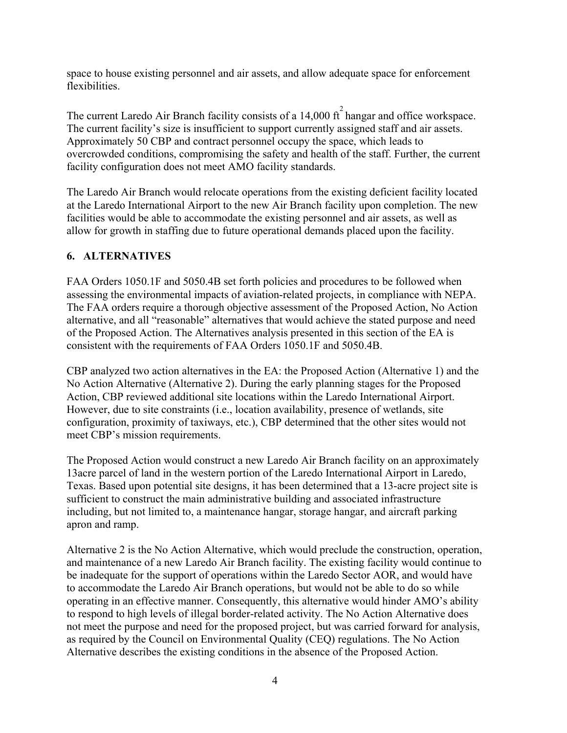space to house existing personnel and air assets, and allow adequate space for enforcement flexibilities.

The current Laredo Air Branch facility consists of a 14,000  $\hat{\pi}^2$  hangar and office workspace. The current facility's size is insufficient to support currently assigned staff and air assets. Approximately 50 CBP and contract personnel occupy the space, which leads to overcrowded conditions, compromising the safety and health of the staff. Further, the current facility configuration does not meet AMO facility standards.

The Laredo Air Branch would relocate operations from the existing deficient facility located at the Laredo International Airport to the new Air Branch facility upon completion. The new facilities would be able to accommodate the existing personnel and air assets, as well as allow for growth in staffing due to future operational demands placed upon the facility.

### **6. ALTERNATIVES**

FAA Orders 1050.1F and 5050.4B set forth policies and procedures to be followed when assessing the environmental impacts of aviation-related projects, in compliance with NEPA. The FAA orders require a thorough objective assessment of the Proposed Action, No Action alternative, and all "reasonable" alternatives that would achieve the stated purpose and need of the Proposed Action. The Alternatives analysis presented in this section of the EA is consistent with the requirements of FAA Orders 1050.1F and 5050.4B.

CBP analyzed two action alternatives in the EA: the Proposed Action (Alternative 1) and the No Action Alternative (Alternative 2). During the early planning stages for the Proposed Action, CBP reviewed additional site locations within the Laredo International Airport. However, due to site constraints (i.e., location availability, presence of wetlands, site configuration, proximity of taxiways, etc.), CBP determined that the other sites would not meet CBP's mission requirements.

The Proposed Action would construct a new Laredo Air Branch facility on an approximately 13acre parcel of land in the western portion of the Laredo International Airport in Laredo, Texas. Based upon potential site designs, it has been determined that a 13-acre project site is sufficient to construct the main administrative building and associated infrastructure including, but not limited to, a maintenance hangar, storage hangar, and aircraft parking apron and ramp.

Alternative 2 is the No Action Alternative, which would preclude the construction, operation, and maintenance of a new Laredo Air Branch facility. The existing facility would continue to be inadequate for the support of operations within the Laredo Sector AOR, and would have to accommodate the Laredo Air Branch operations, but would not be able to do so while operating in an effective manner. Consequently, this alternative would hinder AMO's ability to respond to high levels of illegal border-related activity. The No Action Alternative does not meet the purpose and need for the proposed project, but was carried forward for analysis, as required by the Council on Environmental Quality (CEQ) regulations. The No Action Alternative describes the existing conditions in the absence of the Proposed Action.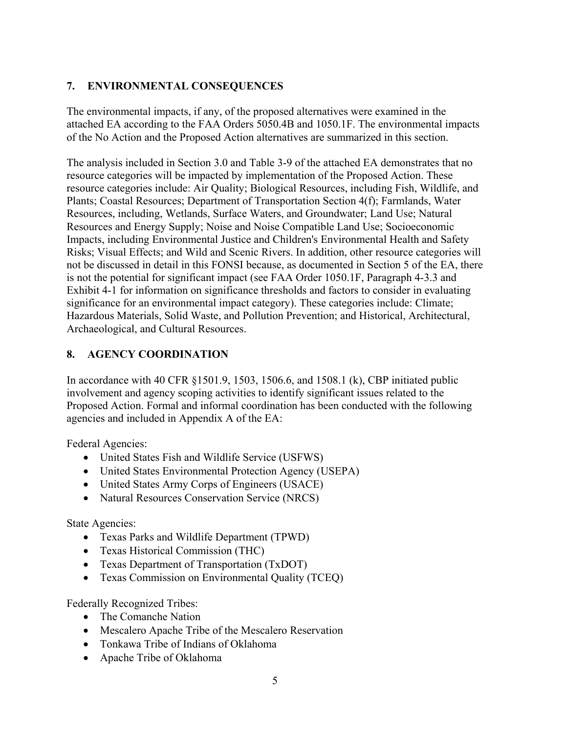## **7. ENVIRONMENTAL CONSEQUENCES**

The environmental impacts, if any, of the proposed alternatives were examined in the attached EA according to the FAA Orders 5050.4B and 1050.1F. The environmental impacts of the No Action and the Proposed Action alternatives are summarized in this section.

The analysis included in Section 3.0 and Table 3-9 of the attached EA demonstrates that no resource categories will be impacted by implementation of the Proposed Action. These resource categories include: Air Quality; Biological Resources, including Fish, Wildlife, and Plants; Coastal Resources; Department of Transportation Section 4(f); Farmlands, Water Resources, including, Wetlands, Surface Waters, and Groundwater; Land Use; Natural Resources and Energy Supply; Noise and Noise Compatible Land Use; Socioeconomic Impacts, including Environmental Justice and Children's Environmental Health and Safety Risks; Visual Effects; and Wild and Scenic Rivers. In addition, other resource categories will not be discussed in detail in this FONSI because, as documented in Section 5 of the EA, there is not the potential for significant impact (see FAA Order 1050.1F, Paragraph 4-3.3 and Exhibit 4-1 for information on significance thresholds and factors to consider in evaluating significance for an environmental impact category). These categories include: Climate; Hazardous Materials, Solid Waste, and Pollution Prevention; and Historical, Architectural, Archaeological, and Cultural Resources.

### **8. AGENCY COORDINATION**

In accordance with 40 CFR §1501.9, 1503, 1506.6, and 1508.1 (k), CBP initiated public involvement and agency scoping activities to identify significant issues related to the Proposed Action. Formal and informal coordination has been conducted with the following agencies and included in Appendix A of the EA:

Federal Agencies:

- United States Fish and Wildlife Service (USFWS)
- United States Environmental Protection Agency (USEPA)
- United States Army Corps of Engineers (USACE)
- Natural Resources Conservation Service (NRCS)

State Agencies:

- Texas Parks and Wildlife Department (TPWD)
- Texas Historical Commission (THC)
- Texas Department of Transportation (TxDOT)
- Texas Commission on Environmental Quality (TCEQ)

Federally Recognized Tribes:

- The Comanche Nation
- Mescalero Apache Tribe of the Mescalero Reservation
- Tonkawa Tribe of Indians of Oklahoma
- Apache Tribe of Oklahoma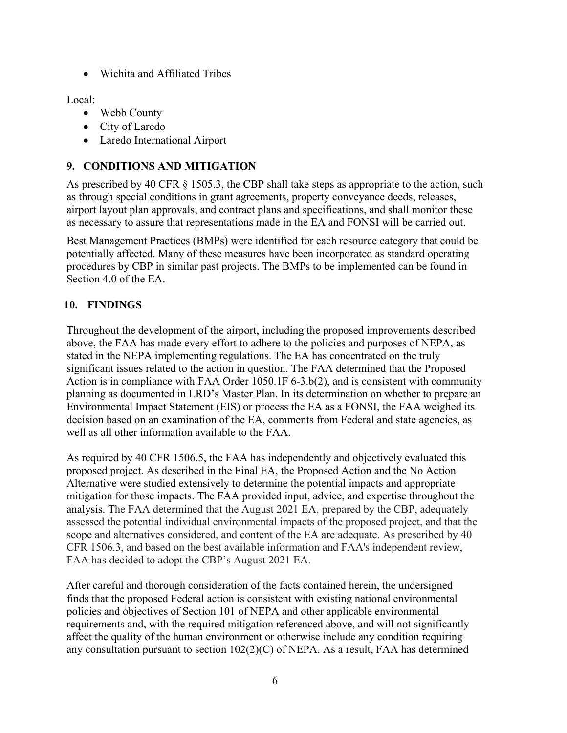• Wichita and Affiliated Tribes

### Local:

- Webb County
- City of Laredo
- Laredo International Airport

## **9. CONDITIONS AND MITIGATION**

As prescribed by 40 CFR § 1505.3, the CBP shall take steps as appropriate to the action, such as through special conditions in grant agreements, property conveyance deeds, releases, airport layout plan approvals, and contract plans and specifications, and shall monitor these as necessary to assure that representations made in the EA and FONSI will be carried out.

Best Management Practices (BMPs) were identified for each resource category that could be potentially affected. Many of these measures have been incorporated as standard operating procedures by CBP in similar past projects. The BMPs to be implemented can be found in Section 4.0 of the EA.

## **10. FINDINGS**

Throughout the development of the airport, including the proposed improvements described above, the FAA has made every effort to adhere to the policies and purposes of NEPA, as stated in the NEPA implementing regulations. The EA has concentrated on the truly significant issues related to the action in question. The FAA determined that the Proposed Action is in compliance with FAA Order 1050.1F 6-3.b(2), and is consistent with community planning as documented in LRD's Master Plan. In its determination on whether to prepare an Environmental Impact Statement (EIS) or process the EA as a FONSI, the FAA weighed its decision based on an examination of the EA, comments from Federal and state agencies, as well as all other information available to the FAA.

As required by 40 CFR 1506.5, the FAA has independently and objectively evaluated this proposed project. As described in the Final EA, the Proposed Action and the No Action Alternative were studied extensively to determine the potential impacts and appropriate mitigation for those impacts. The FAA provided input, advice, and expertise throughout the analysis. The FAA determined that the August 2021 EA, prepared by the CBP, adequately assessed the potential individual environmental impacts of the proposed project, and that the scope and alternatives considered, and content of the EA are adequate. As prescribed by 40 CFR 1506.3, and based on the best available information and FAA's independent review, FAA has decided to adopt the CBP's August 2021 EA.

After careful and thorough consideration of the facts contained herein, the undersigned finds that the proposed Federal action is consistent with existing national environmental policies and objectives of Section 101 of NEPA and other applicable environmental requirements and, with the required mitigation referenced above, and will not significantly affect the quality of the human environment or otherwise include any condition requiring any consultation pursuant to section 102(2)(C) of NEPA. As a result, FAA has determined